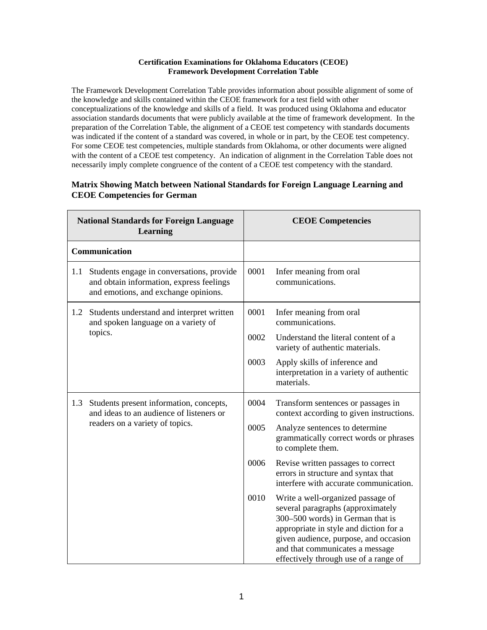## **Certification Examinations for Oklahoma Educators (CEOE) Framework Development Correlation Table**

The Framework Development Correlation Table provides information about possible alignment of some of the knowledge and skills contained within the CEOE framework for a test field with other conceptualizations of the knowledge and skills of a field. It was produced using Oklahoma and educator association standards documents that were publicly available at the time of framework development. In the preparation of the Correlation Table, the alignment of a CEOE test competency with standards documents was indicated if the content of a standard was covered, in whole or in part, by the CEOE test competency. For some CEOE test competencies, multiple standards from Oklahoma, or other documents were aligned with the content of a CEOE test competency. An indication of alignment in the Correlation Table does not necessarily imply complete congruence of the content of a CEOE test competency with the standard.

## **National Standards for Foreign Language Learning CEOE Competencies Communication** 1.1 Students engage in conversations, provide and obtain information, express feelings and emotions, and exchange opinions. 0001 Infer meaning from oral communications. 1.2 Students understand and interpret written and spoken language on a variety of topics. 0001 Infer meaning from oral communications. 0002 Understand the literal content of a variety of authentic materials. 0003 Apply skills of inference and interpretation in a variety of authentic materials. 1.3 Students present information, concepts, and ideas to an audience of listeners or readers on a variety of topics. 0004 Transform sentences or passages in context according to given instructions. 0005 Analyze sentences to determine grammatically correct words or phrases to complete them. 0006 Revise written passages to correct errors in structure and syntax that interfere with accurate communication. 0010 Write a well-organized passage of several paragraphs (approximately 300–500 words) in German that is appropriate in style and diction for a given audience, purpose, and occasion and that communicates a message

## **Matrix Showing Match between National Standards for Foreign Language Learning and CEOE Competencies for German**

effectively through use of a range of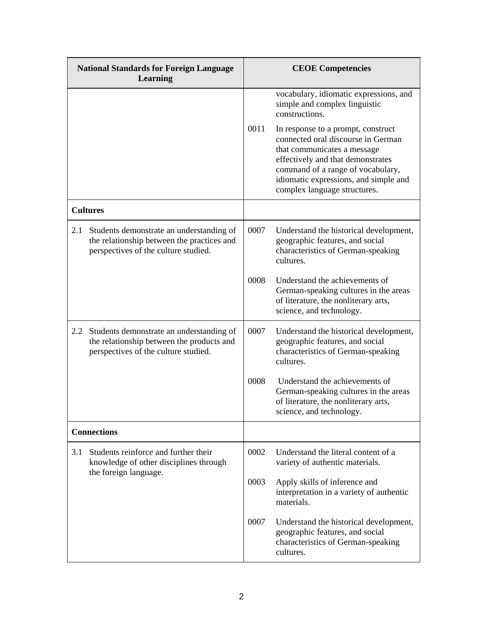| <b>National Standards for Foreign Language</b><br><b>Learning</b> |                                                                                                                                | <b>CEOE Competencies</b> |                                                                                                                                                                                                                                                            |
|-------------------------------------------------------------------|--------------------------------------------------------------------------------------------------------------------------------|--------------------------|------------------------------------------------------------------------------------------------------------------------------------------------------------------------------------------------------------------------------------------------------------|
|                                                                   |                                                                                                                                |                          | vocabulary, idiomatic expressions, and<br>simple and complex linguistic<br>constructions.                                                                                                                                                                  |
|                                                                   |                                                                                                                                | 0011                     | In response to a prompt, construct<br>connected oral discourse in German<br>that communicates a message<br>effectively and that demonstrates<br>command of a range of vocabulary,<br>idiomatic expressions, and simple and<br>complex language structures. |
|                                                                   | <b>Cultures</b>                                                                                                                |                          |                                                                                                                                                                                                                                                            |
| 2.1                                                               | Students demonstrate an understanding of<br>the relationship between the practices and<br>perspectives of the culture studied. | 0007                     | Understand the historical development,<br>geographic features, and social<br>characteristics of German-speaking<br>cultures.                                                                                                                               |
|                                                                   |                                                                                                                                | 0008                     | Understand the achievements of<br>German-speaking cultures in the areas<br>of literature, the nonliterary arts,<br>science, and technology.                                                                                                                |
| 2.2                                                               | Students demonstrate an understanding of<br>the relationship between the products and<br>perspectives of the culture studied.  | 0007                     | Understand the historical development,<br>geographic features, and social<br>characteristics of German-speaking<br>cultures.                                                                                                                               |
|                                                                   |                                                                                                                                | 0008                     | Understand the achievements of<br>German-speaking cultures in the areas<br>of literature, the nonliterary arts,<br>science, and technology.                                                                                                                |
| <b>Connections</b>                                                |                                                                                                                                |                          |                                                                                                                                                                                                                                                            |
| 3.1                                                               | Students reinforce and further their<br>knowledge of other disciplines through<br>the foreign language.                        | 0002                     | Understand the literal content of a<br>variety of authentic materials.                                                                                                                                                                                     |
|                                                                   |                                                                                                                                | 0003                     | Apply skills of inference and<br>interpretation in a variety of authentic<br>materials.                                                                                                                                                                    |
|                                                                   |                                                                                                                                | 0007                     | Understand the historical development,<br>geographic features, and social<br>characteristics of German-speaking<br>cultures.                                                                                                                               |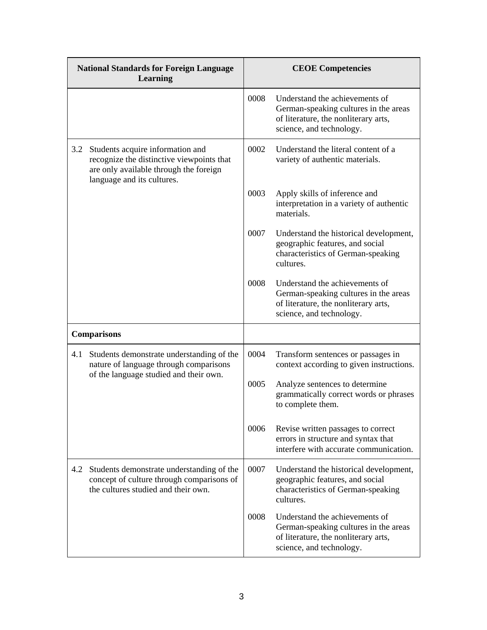| <b>National Standards for Foreign Language</b><br><b>Learning</b> |                                                                                                                                                       | <b>CEOE Competencies</b> |                                                                                                                                             |
|-------------------------------------------------------------------|-------------------------------------------------------------------------------------------------------------------------------------------------------|--------------------------|---------------------------------------------------------------------------------------------------------------------------------------------|
|                                                                   |                                                                                                                                                       | 0008                     | Understand the achievements of<br>German-speaking cultures in the areas<br>of literature, the nonliterary arts,<br>science, and technology. |
| 3.2                                                               | Students acquire information and<br>recognize the distinctive viewpoints that<br>are only available through the foreign<br>language and its cultures. | 0002                     | Understand the literal content of a<br>variety of authentic materials.                                                                      |
|                                                                   |                                                                                                                                                       | 0003                     | Apply skills of inference and<br>interpretation in a variety of authentic<br>materials.                                                     |
|                                                                   |                                                                                                                                                       | 0007                     | Understand the historical development,<br>geographic features, and social<br>characteristics of German-speaking<br>cultures.                |
|                                                                   |                                                                                                                                                       | 0008                     | Understand the achievements of<br>German-speaking cultures in the areas<br>of literature, the nonliterary arts,<br>science, and technology. |
| <b>Comparisons</b>                                                |                                                                                                                                                       |                          |                                                                                                                                             |
| 4.1                                                               | Students demonstrate understanding of the<br>nature of language through comparisons<br>of the language studied and their own.                         | 0004                     | Transform sentences or passages in<br>context according to given instructions.                                                              |
|                                                                   |                                                                                                                                                       | 0005                     | Analyze sentences to determine<br>grammatically correct words or phrases<br>to complete them.                                               |
|                                                                   |                                                                                                                                                       | 0006                     | Revise written passages to correct<br>errors in structure and syntax that<br>interfere with accurate communication.                         |
| 4.2                                                               | Students demonstrate understanding of the<br>concept of culture through comparisons of<br>the cultures studied and their own.                         | 0007                     | Understand the historical development,<br>geographic features, and social<br>characteristics of German-speaking<br>cultures.                |
|                                                                   |                                                                                                                                                       | 0008                     | Understand the achievements of<br>German-speaking cultures in the areas<br>of literature, the nonliterary arts,<br>science, and technology. |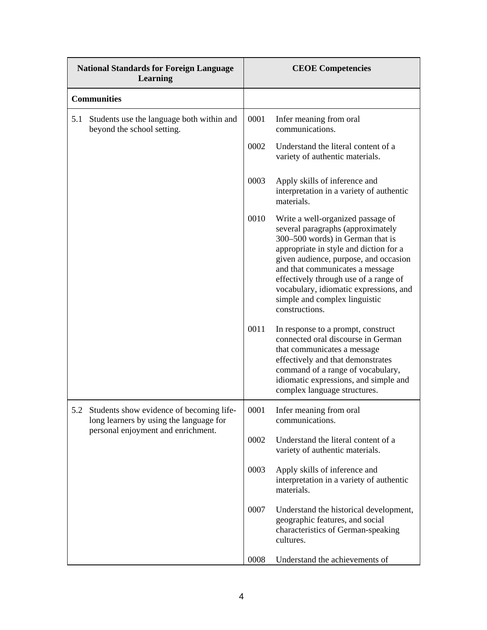| <b>National Standards for Foreign Language</b><br><b>Learning</b> |                                                                                                                               | <b>CEOE Competencies</b> |                                                                                                                                                                                                                                                                                                                                                                        |
|-------------------------------------------------------------------|-------------------------------------------------------------------------------------------------------------------------------|--------------------------|------------------------------------------------------------------------------------------------------------------------------------------------------------------------------------------------------------------------------------------------------------------------------------------------------------------------------------------------------------------------|
| <b>Communities</b>                                                |                                                                                                                               |                          |                                                                                                                                                                                                                                                                                                                                                                        |
| 5.1                                                               | Students use the language both within and<br>beyond the school setting.                                                       | 0001                     | Infer meaning from oral<br>communications.                                                                                                                                                                                                                                                                                                                             |
|                                                                   |                                                                                                                               | 0002                     | Understand the literal content of a<br>variety of authentic materials.                                                                                                                                                                                                                                                                                                 |
|                                                                   |                                                                                                                               | 0003                     | Apply skills of inference and<br>interpretation in a variety of authentic<br>materials.                                                                                                                                                                                                                                                                                |
|                                                                   |                                                                                                                               | 0010                     | Write a well-organized passage of<br>several paragraphs (approximately<br>300–500 words) in German that is<br>appropriate in style and diction for a<br>given audience, purpose, and occasion<br>and that communicates a message<br>effectively through use of a range of<br>vocabulary, idiomatic expressions, and<br>simple and complex linguistic<br>constructions. |
|                                                                   |                                                                                                                               | 0011                     | In response to a prompt, construct<br>connected oral discourse in German<br>that communicates a message<br>effectively and that demonstrates<br>command of a range of vocabulary,<br>idiomatic expressions, and simple and<br>complex language structures.                                                                                                             |
|                                                                   | 5.2 Students show evidence of becoming life-<br>long learners by using the language for<br>personal enjoyment and enrichment. | 0001                     | Infer meaning from oral<br>communications.                                                                                                                                                                                                                                                                                                                             |
|                                                                   |                                                                                                                               | 0002                     | Understand the literal content of a<br>variety of authentic materials.                                                                                                                                                                                                                                                                                                 |
|                                                                   |                                                                                                                               | 0003                     | Apply skills of inference and<br>interpretation in a variety of authentic<br>materials.                                                                                                                                                                                                                                                                                |
|                                                                   |                                                                                                                               | 0007                     | Understand the historical development,<br>geographic features, and social<br>characteristics of German-speaking<br>cultures.                                                                                                                                                                                                                                           |
|                                                                   |                                                                                                                               | 0008                     | Understand the achievements of                                                                                                                                                                                                                                                                                                                                         |